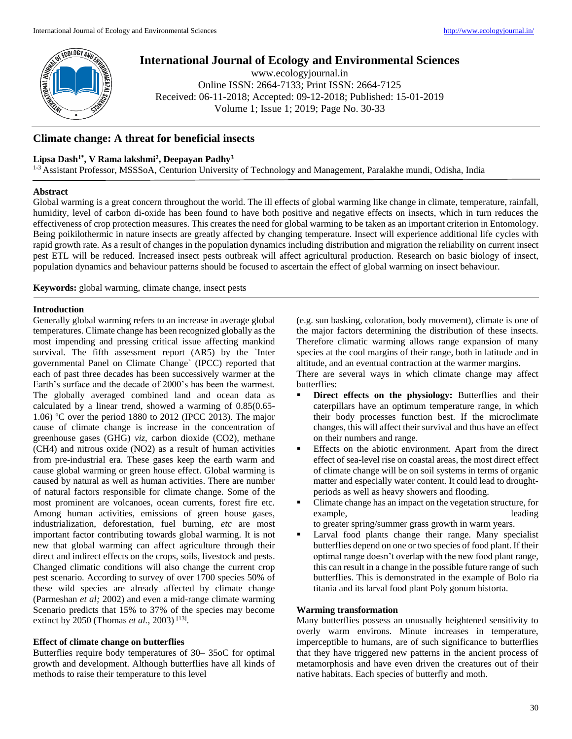

# **International Journal of Ecology and Environmental Sciences**

www.ecologyjournal.in Online ISSN: 2664-7133; Print ISSN: 2664-7125 Received: 06-11-2018; Accepted: 09-12-2018; Published: 15-01-2019 Volume 1; Issue 1; 2019; Page No. 30-33

# **Climate change: A threat for beneficial insects**

### **Lipsa Dash1\* , V Rama lakshmi<sup>2</sup> , Deepayan Padhy<sup>3</sup>**

<sup>1-3</sup> Assistant Professor, MSSSoA, Centurion University of Technology and Management, Paralakhe mundi, Odisha, India

#### **Abstract**

Global warming is a great concern throughout the world. The ill effects of global warming like change in climate, temperature, rainfall, humidity, level of carbon di-oxide has been found to have both positive and negative effects on insects, which in turn reduces the effectiveness of crop protection measures. This creates the need for global warming to be taken as an important criterion in Entomology. Being poikilothermic in nature insects are greatly affected by changing temperature. Insect will experience additional life cycles with rapid growth rate. As a result of changes in the population dynamics including distribution and migration the reliability on current insect pest ETL will be reduced. Increased insect pests outbreak will affect agricultural production. Research on basic biology of insect, population dynamics and behaviour patterns should be focused to ascertain the effect of global warming on insect behaviour.

**Keywords:** global warming, climate change, insect pests

### **Introduction**

Generally global warming refers to an increase in average global temperatures. Climate change has been recognized globally as the most impending and pressing critical issue affecting mankind survival. The fifth assessment report (AR5) by the `Inter governmental Panel on Climate Change` (IPCC) reported that each of past three decades has been successively warmer at the Earth's surface and the decade of 2000's has been the warmest. The globally averaged combined land and ocean data as calculated by a linear trend, showed a warming of 0.85(0.65- 1.06) ºC over the period 1880 to 2012 (IPCC 2013). The major cause of climate change is increase in the concentration of greenhouse gases (GHG) *viz*, carbon dioxide (CO2), methane (CH4) and nitrous oxide (NO2) as a result of human activities from pre-industrial era. These gases keep the earth warm and cause global warming or green house effect. Global warming is caused by natural as well as human activities. There are number of natural factors responsible for climate change. Some of the most prominent are volcanoes, ocean currents, forest fire etc. Among human activities, emissions of green house gases, industrialization, deforestation, fuel burning, *etc* are most important factor contributing towards global warming. It is not new that global warming can affect agriculture through their direct and indirect effects on the crops, soils, livestock and pests. Changed climatic conditions will also change the current crop pest scenario. According to survey of over 1700 species 50% of these wild species are already affected by climate change (Parmeshan *et al;* 2002) and even a mid-range climate warming Scenario predicts that 15% to 37% of the species may become extinct by 2050 (Thomas *et al.*, 2003)<sup>[13]</sup>.

### **Effect of climate change on butterflies**

Butterflies require body temperatures of 30– 35oC for optimal growth and development. Although butterflies have all kinds of methods to raise their temperature to this level

(e.g. sun basking, coloration, body movement), climate is one of the major factors determining the distribution of these insects. Therefore climatic warming allows range expansion of many species at the cool margins of their range, both in latitude and in altitude, and an eventual contraction at the warmer margins.

There are several ways in which climate change may affect butterflies:

- **Direct effects on the physiology:** Butterflies and their caterpillars have an optimum temperature range, in which their body processes function best. If the microclimate changes, this will affect their survival and thus have an effect on their numbers and range.
- Effects on the abiotic environment. Apart from the direct effect of sea-level rise on coastal areas, the most direct effect of climate change will be on soil systems in terms of organic matter and especially water content. It could lead to droughtperiods as well as heavy showers and flooding.
- Climate change has an impact on the vegetation structure, for example, leading leading to greater spring/summer grass growth in warm years.
- Larval food plants change their range. Many specialist butterflies depend on one or two species of food plant. If their optimal range doesn't overlap with the new food plant range, this can result in a change in the possible future range of such butterflies. This is demonstrated in the example of Bolo ria titania and its larval food plant Poly gonum bistorta.

### **Warming transformation**

Many butterflies possess an unusually heightened sensitivity to overly warm environs. Minute increases in temperature, imperceptible to humans, are of such significance to butterflies that they have triggered new patterns in the ancient process of metamorphosis and have even driven the creatures out of their native habitats. Each species of butterfly and moth.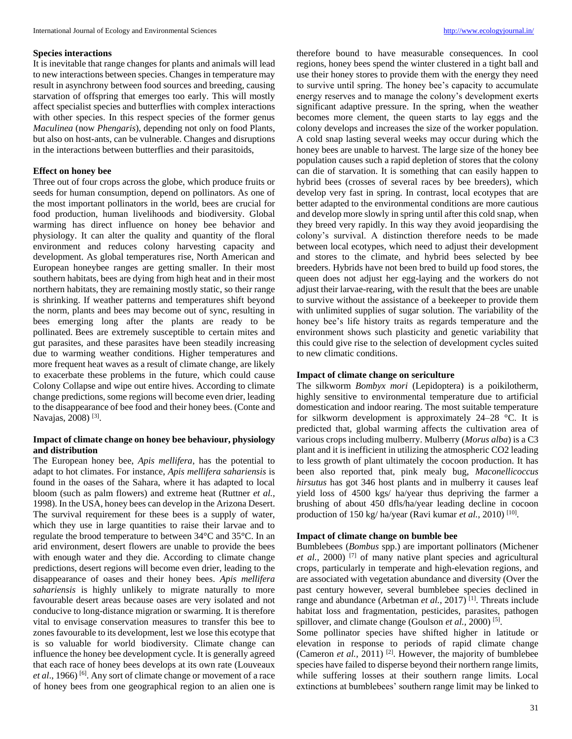#### **Species interactions**

It is inevitable that range changes for plants and animals will lead to new interactions between species. Changes in temperature may result in asynchrony between food sources and breeding, causing starvation of offspring that emerges too early. This will mostly affect specialist species and butterflies with complex interactions with other species. In this respect species of the former genus *Maculinea* (now *Phengaris*), depending not only on food Plants, but also on host-ants, can be vulnerable. Changes and disruptions in the interactions between butterflies and their parasitoids,

#### **Effect on honey bee**

Three out of four crops across the globe, which produce fruits or seeds for human consumption, depend on pollinators. As one of the most important pollinators in the world, bees are crucial for food production, human livelihoods and biodiversity. Global warming has direct influence on honey bee behavior and physiology. It can alter the quality and quantity of the floral environment and reduces colony harvesting capacity and development. As global temperatures rise, North American and European honeybee ranges are getting smaller. In their most southern habitats, bees are dying from high heat and in their most northern habitats, they are remaining mostly static, so their range is shrinking. If weather patterns and temperatures shift beyond the norm, plants and bees may become out of sync, resulting in bees emerging long after the plants are ready to be pollinated. Bees are extremely susceptible to certain mites and gut parasites, and these parasites have been steadily increasing due to warming weather conditions. Higher temperatures and more frequent heat waves as a result of climate change, are likely to exacerbate these problems in the future, which could cause Colony Collapse and wipe out entire hives. According to climate change predictions, some regions will become even drier, leading to the disappearance of bee food and their honey bees. (Conte and Navajas, 2008)<sup>[3]</sup>.

### **Impact of climate change on honey bee behaviour, physiology and distribution**

The European honey bee, *Apis mellifera*, has the potential to adapt to hot climates. For instance, *Apis mellifera sahariensis* is found in the oases of the Sahara, where it has adapted to local bloom (such as palm flowers) and extreme heat (Ruttner *et al.,* 1998). In the USA, honey bees can develop in the Arizona Desert. The survival requirement for these bees is a supply of water, which they use in large quantities to raise their larvae and to regulate the brood temperature to between 34°C and 35°C. In an arid environment, desert flowers are unable to provide the bees with enough water and they die. According to climate change predictions, desert regions will become even drier, leading to the disappearance of oases and their honey bees. *Apis mellifera sahariensis* is highly unlikely to migrate naturally to more favourable desert areas because oases are very isolated and not conducive to long-distance migration or swarming. It is therefore vital to envisage conservation measures to transfer this bee to zones favourable to its development, lest we lose this ecotype that is so valuable for world biodiversity. Climate change can influence the honey bee development cycle. It is generally agreed that each race of honey bees develops at its own rate (Louveaux *et al.*, 1966) <sup>[6]</sup>. Any sort of climate change or movement of a race of honey bees from one geographical region to an alien one is

therefore bound to have measurable consequences. In cool regions, honey bees spend the winter clustered in a tight ball and use their honey stores to provide them with the energy they need to survive until spring. The honey bee's capacity to accumulate energy reserves and to manage the colony's development exerts significant adaptive pressure. In the spring, when the weather becomes more clement, the queen starts to lay eggs and the colony develops and increases the size of the worker population. A cold snap lasting several weeks may occur during which the honey bees are unable to harvest. The large size of the honey bee population causes such a rapid depletion of stores that the colony can die of starvation. It is something that can easily happen to hybrid bees (crosses of several races by bee breeders), which develop very fast in spring. In contrast, local ecotypes that are better adapted to the environmental conditions are more cautious and develop more slowly in spring until after this cold snap, when they breed very rapidly. In this way they avoid jeopardising the colony's survival. A distinction therefore needs to be made between local ecotypes, which need to adjust their development and stores to the climate, and hybrid bees selected by bee breeders. Hybrids have not been bred to build up food stores, the queen does not adjust her egg-laying and the workers do not adjust their larvae-rearing, with the result that the bees are unable to survive without the assistance of a beekeeper to provide them with unlimited supplies of sugar solution. The variability of the honey bee's life history traits as regards temperature and the environment shows such plasticity and genetic variability that this could give rise to the selection of development cycles suited to new climatic conditions.

### **Impact of climate change on sericulture**

The silkworm *Bombyx mori* (Lepidoptera) is a poikilotherm, highly sensitive to environmental temperature due to artificial domestication and indoor rearing. The most suitable temperature for silkworm development is approximately 24–28 °C. It is predicted that, global warming affects the cultivation area of various crops including mulberry. Mulberry (*Morus alba*) is a C3 plant and it is inefficient in utilizing the atmospheric CO2 leading to less growth of plant ultimately the cocoon production. It has been also reported that, pink mealy bug, *Maconellicoccus hirsutus* has got 346 host plants and in mulberry it causes leaf yield loss of 4500 kgs/ ha/year thus depriving the farmer a brushing of about 450 dfls/ha/year leading decline in cocoon production of 150 kg/ ha/year (Ravi kumar et al., 2010)<sup>[10]</sup>.

#### **Impact of climate change on bumble bee**

Bumblebees (*Bombus* spp.) are important pollinators (Michener *et al.,* 2000) [7] of many native plant species and agricultural crops, particularly in temperate and high-elevation regions, and are associated with vegetation abundance and diversity (Over the past century however, several bumblebee species declined in range and abundance (Arbetman *et al.*, 2017)<sup>[1]</sup>. Threats include habitat loss and fragmentation, pesticides, parasites, pathogen spillover, and climate change (Goulson *et al.*, 2000)<sup>[5]</sup>.

Some pollinator species have shifted higher in latitude or elevation in response to periods of rapid climate change (Cameron *et al.*, 2011)<sup>[2]</sup>. However, the majority of bumblebee species have failed to disperse beyond their northern range limits, while suffering losses at their southern range limits. Local extinctions at bumblebees' southern range limit may be linked to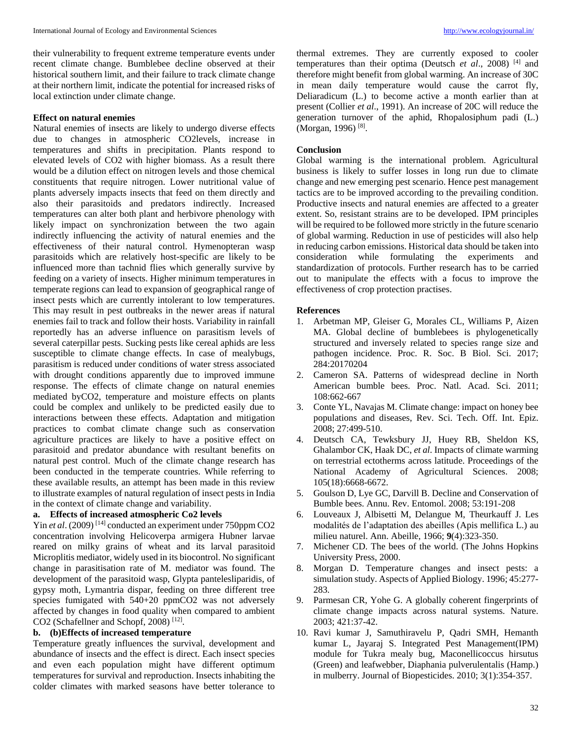their vulnerability to frequent extreme temperature events under recent climate change. Bumblebee decline observed at their historical southern limit, and their failure to track climate change at their northern limit, indicate the potential for increased risks of local extinction under climate change.

### **Effect on natural enemies**

Natural enemies of insects are likely to undergo diverse effects due to changes in atmospheric CO2levels, increase in temperatures and shifts in precipitation. Plants respond to elevated levels of CO2 with higher biomass. As a result there would be a dilution effect on nitrogen levels and those chemical constituents that require nitrogen. Lower nutritional value of plants adversely impacts insects that feed on them directly and also their parasitoids and predators indirectly. Increased temperatures can alter both plant and herbivore phenology with likely impact on synchronization between the two again indirectly influencing the activity of natural enemies and the effectiveness of their natural control. Hymenopteran wasp parasitoids which are relatively host-specific are likely to be influenced more than tachnid flies which generally survive by feeding on a variety of insects. Higher minimum temperatures in temperate regions can lead to expansion of geographical range of insect pests which are currently intolerant to low temperatures. This may result in pest outbreaks in the newer areas if natural enemies fail to track and follow their hosts. Variability in rainfall reportedly has an adverse influence on parasitism levels of several caterpillar pests. Sucking pests like cereal aphids are less susceptible to climate change effects. In case of mealybugs, parasitism is reduced under conditions of water stress associated with drought conditions apparently due to improved immune response. The effects of climate change on natural enemies mediated byCO2, temperature and moisture effects on plants could be complex and unlikely to be predicted easily due to interactions between these effects. Adaptation and mitigation practices to combat climate change such as conservation agriculture practices are likely to have a positive effect on parasitoid and predator abundance with resultant benefits on natural pest control. Much of the climate change research has been conducted in the temperate countries. While referring to these available results, an attempt has been made in this review to illustrate examples of natural regulation of insect pests in India in the context of climate change and variability.

# **a. Effects of increased atmospheric Co2 levels**

Yin *et al.* (2009)<sup>[14]</sup> conducted an experiment under 750ppm CO2 concentration involving Helicoverpa armigera Hubner larvae reared on milky grains of wheat and its larval parasitoid Microplitis mediator, widely used in its biocontrol. No significant change in parasitisation rate of M. mediator was found. The development of the parasitoid wasp, Glypta pantelesliparidis, of gypsy moth, Lymantria dispar, feeding on three different tree species fumigated with  $540+20$  ppmCO2 was not adversely affected by changes in food quality when compared to ambient CO2 (Schafellner and Schopf, 2008)<sup>[12]</sup>.

# **b. (b)Effects of increased temperature**

Temperature greatly influences the survival, development and abundance of insects and the effect is direct. Each insect species and even each population might have different optimum temperatures for survival and reproduction. Insects inhabiting the colder climates with marked seasons have better tolerance to

thermal extremes. They are currently exposed to cooler temperatures than their optima (Deutsch *et al*., 2008) [4] and therefore might benefit from global warming. An increase of 30C in mean daily temperature would cause the carrot fly, Deliaradicum (L.) to become active a month earlier than at present (Collier *et al*., 1991). An increase of 20C will reduce the generation turnover of the aphid, Rhopalosiphum padi (L.) (Morgan, 1996)<sup>[8]</sup>.

#### **Conclusion**

Global warming is the international problem. Agricultural business is likely to suffer losses in long run due to climate change and new emerging pest scenario. Hence pest management tactics are to be improved according to the prevailing condition. Productive insects and natural enemies are affected to a greater extent. So, resistant strains are to be developed. IPM principles will be required to be followed more strictly in the future scenario of global warming. Reduction in use of pesticides will also help in reducing carbon emissions. Historical data should be taken into consideration while formulating the experiments and standardization of protocols. Further research has to be carried out to manipulate the effects with a focus to improve the effectiveness of crop protection practises.

#### **References**

- 1. Arbetman MP, Gleiser G, Morales CL, Williams P, Aizen MA. Global decline of bumblebees is phylogenetically structured and inversely related to species range size and pathogen incidence. Proc. R. Soc. B Biol. Sci. 2017; 284:20170204
- 2. Cameron SA. Patterns of widespread decline in North American bumble bees. Proc. Natl. Acad. Sci. 2011; 108:662-667
- 3. Conte YL, Navajas M. Climate change: impact on honey bee populations and diseases, Rev. Sci. Tech. Off. Int. Epiz. 2008; 27:499-510.
- 4. Deutsch CA, Tewksbury JJ, Huey RB, Sheldon KS, Ghalambor CK, Haak DC, *et al*. Impacts of climate warming on terrestrial ectotherms across latitude. Proceedings of the National Academy of Agricultural Sciences. 2008; 105(18):6668-6672.
- 5. Goulson D, Lye GC, Darvill B. Decline and Conservation of Bumble bees. Annu. Rev. Entomol. 2008; 53:191-208
- 6. Louveaux J, Albisetti M, Delangue M, Theurkauff J. Les modalités de l'adaptation des abeilles (Apis mellifica L.) au milieu naturel. Ann. Abeille, 1966; **9**(4):323-350.
- 7. Michener CD. The bees of the world. (The Johns Hopkins University Press, 2000.
- 8. Morgan D. Temperature changes and insect pests: a simulation study. Aspects of Applied Biology. 1996; 45:277- 283.
- 9. Parmesan CR, Yohe G. A globally coherent fingerprints of climate change impacts across natural systems. Nature. 2003; 421:37-42.
- 10. Ravi kumar J, Samuthiravelu P, Qadri SMH, Hemanth kumar L, Jayaraj S. Integrated Pest Management(IPM) module for Tukra mealy bug, Maconellicoccus hirsutus (Green) and leafwebber, Diaphania pulverulentalis (Hamp.) in mulberry. Journal of Biopesticides. 2010; 3(1):354-357.